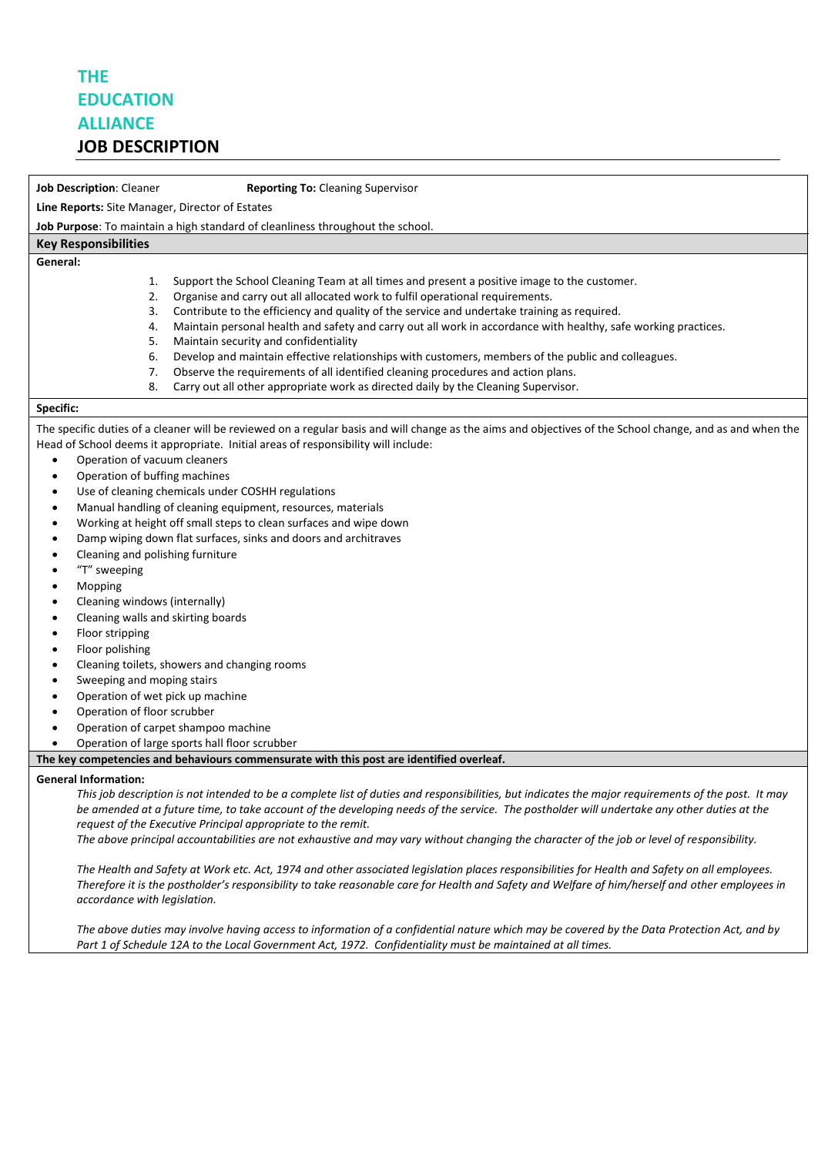## **THE EDUCATION ALLIANCE**

### **JOB DESCRIPTION**

**Job Description**: Cleaner **Reporting To:** Cleaning Supervisor

**Line Reports:** Site Manager, Director of Estates

**Job Purpose**: To maintain a high standard of cleanliness throughout the school.

#### **Key Responsibilities**

**General:**

- 1. Support the School Cleaning Team at all times and present a positive image to the customer.
- 2. Organise and carry out all allocated work to fulfil operational requirements.
- 3. Contribute to the efficiency and quality of the service and undertake training as required.
- 4. Maintain personal health and safety and carry out all work in accordance with healthy, safe working practices.
- 5. Maintain security and confidentiality
- 6. Develop and maintain effective relationships with customers, members of the public and colleagues.
- 7. Observe the requirements of all identified cleaning procedures and action plans.
- 8. Carry out all other appropriate work as directed daily by the Cleaning Supervisor.

#### **Specific:**

The specific duties of a cleaner will be reviewed on a regular basis and will change as the aims and objectives of the School change, and as and when the Head of School deems it appropriate. Initial areas of responsibility will include:

- Operation of vacuum cleaners
- Operation of buffing machines
- Use of cleaning chemicals under COSHH regulations
- Manual handling of cleaning equipment, resources, materials
- Working at height off small steps to clean surfaces and wipe down
- Damp wiping down flat surfaces, sinks and doors and architraves
- Cleaning and polishing furniture
- "T" sweeping
- Mopping
- Cleaning windows (internally)
- Cleaning walls and skirting boards
- Floor stripping
- Floor polishing
- Cleaning toilets, showers and changing rooms
- Sweeping and moping stairs
- Operation of wet pick up machine
- Operation of floor scrubber
- Operation of carpet shampoo machine
- Operation of large sports hall floor scrubber

#### **The key competencies and behaviours commensurate with this post are identified overleaf.**

#### **General Information:**

*This job description is not intended to be a complete list of duties and responsibilities, but indicates the major requirements of the post. It may be amended at a future time, to take account of the developing needs of the service. The postholder will undertake any other duties at the request of the Executive Principal appropriate to the remit.*

*The above principal accountabilities are not exhaustive and may vary without changing the character of the job or level of responsibility.*

*The Health and Safety at Work etc. Act, 1974 and other associated legislation places responsibilities for Health and Safety on all employees. Therefore it is the postholder's responsibility to take reasonable care for Health and Safety and Welfare of him/herself and other employees in accordance with legislation.*

*The above duties may involve having access to information of a confidential nature which may be covered by the Data Protection Act, and by Part 1 of Schedule 12A to the Local Government Act, 1972. Confidentiality must be maintained at all times.*